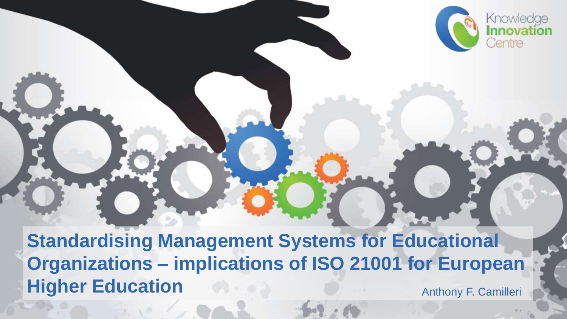

**Standardising Management Systems for Educational Organizations – implications of ISO 21001 for European Higher Education Anthony F. Camilleri**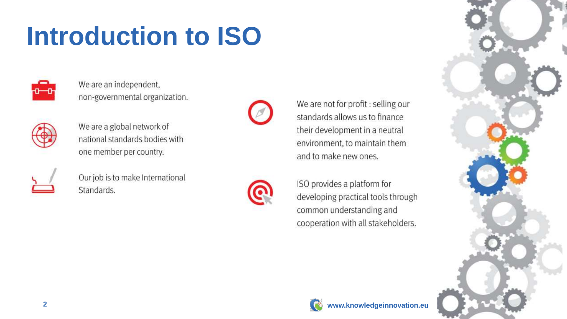### **Introduction to ISO**



We are an independent, non-governmental organization.



We are a global network of national standards bodies with one member per country.



Our job is to make International Standards.



We are not for profit : selling our standards allows us to finance their development in a neutral environment, to maintain them and to make new ones.

ISO provides a platform for developing practical tools through common understanding and cooperation with all stakeholders.



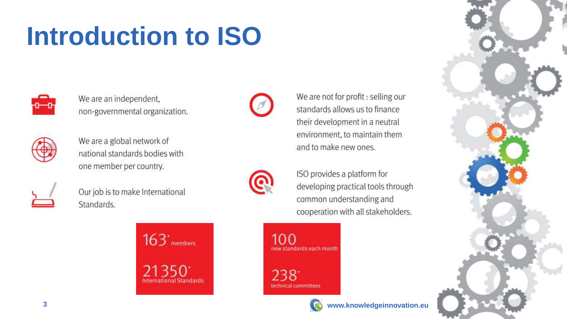### **Introduction to ISO**



We are an independent, non-governmental organization.



We are a global network of national standards bodies with one member per country.



Our job is to make International Standards.

> $163$ <sup>\*</sup> members 21350 **International Standards**



We are not for profit : selling our standards allows us to finance their development in a neutral environment, to maintain them and to make new ones.

ISO provides a platform for developing practical tools through common understanding and cooperation with all stakeholders.







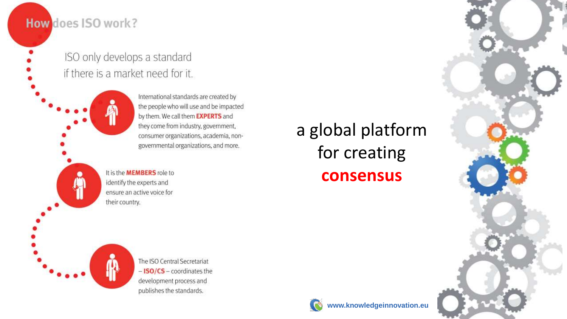#### How does ISO work?

ISO only develops a standard if there is a market need for it.

> International standards are created by the people who will use and be impacted by them. We call them EXPERTS and they come from industry, government, consumer organizations, academia, nongovernmental organizations, and more.

It is the **MEMBERS** role to identify the experts and ensure an active voice for their country.

a global platform for creating **consensus**





The ISO Central Secretariat  $-$  ISO/CS  $-$  coordinates the development process and publishes the standards.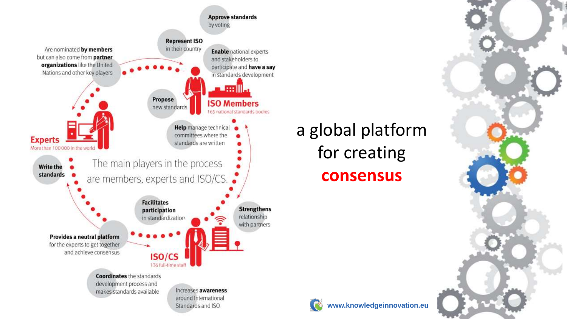

### a global platform for creating **consensus**

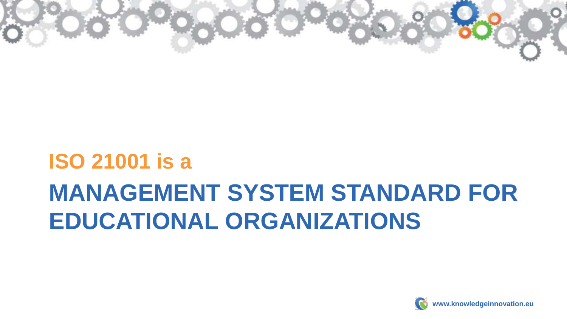

### **MANAGEMENT SYSTEM STANDARD FOR EDUCATIONAL ORGANIZATIONS ISO 21001 is a**

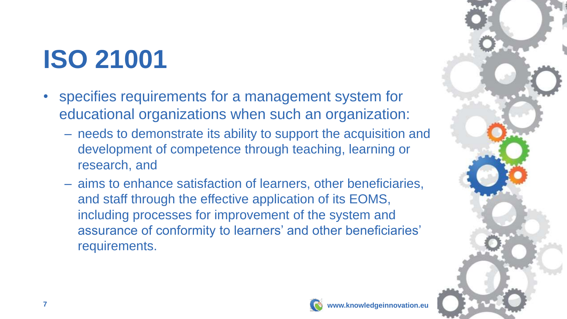# **ISO 21001**

- specifies requirements for a management system for educational organizations when such an organization:
	- needs to demonstrate its ability to support the acquisition and development of competence through teaching, learning or research, and
	- aims to enhance satisfaction of learners, other beneficiaries, and staff through the effective application of its EOMS, including processes for improvement of the system and assurance of conformity to learners' and other beneficiaries' requirements.



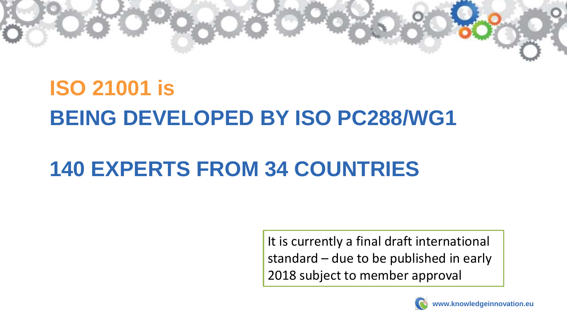

### **BEING DEVELOPED BY ISO PC288/WG1 ISO 21001 is**

### **140 EXPERTS FROM 34 COUNTRIES**

It is currently a final draft international standard – due to be published in early 2018 subject to member approval

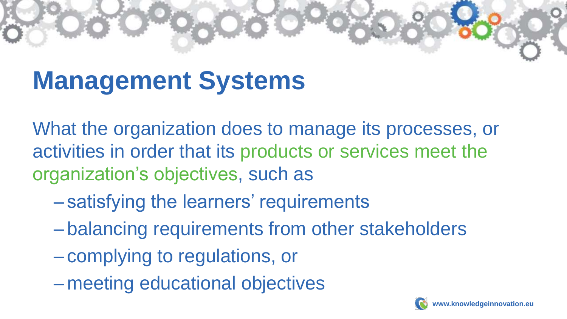# **Management Systems**

What the organization does to manage its processes, or activities in order that its products or services meet the organization's objectives, such as

- satisfying the learners' requirements
- balancing requirements from other stakeholders
- complying to regulations, or
- meeting educational objectives

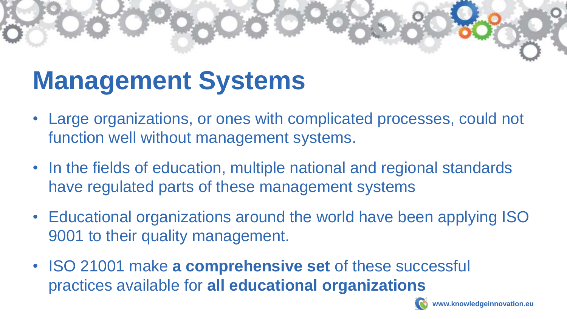### **Management Systems**

- Large organizations, or ones with complicated processes, could not function well without management systems.
- In the fields of education, multiple national and regional standards have regulated parts of these management systems
- Educational organizations around the world have been applying ISO 9001 to their quality management.
- ISO 21001 make **a comprehensive set** of these successful practices available for **all educational organizations**

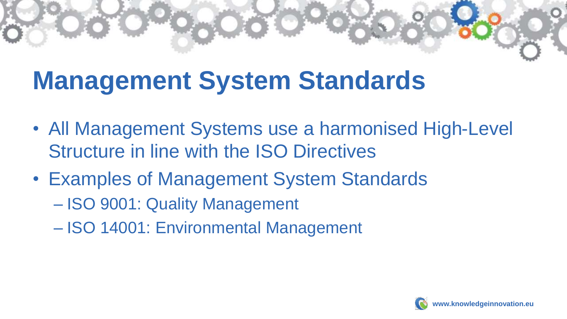### **Management System Standards**

- All Management Systems use a harmonised High-Level Structure in line with the ISO Directives
- Examples of Management System Standards
	- ISO 9001: Quality Management
	- ISO 14001: Environmental Management

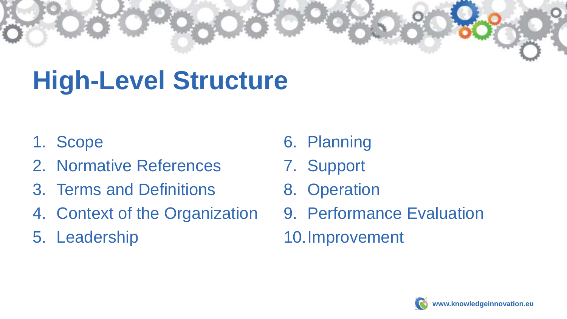# **High-Level Structure**

- 1. Scope
- 2. Normative References
- 3. Terms and Definitions
- 4. Context of the Organization
- 5. Leadership
- 6. Planning
- 7. Support
- 8. Operation
- 9. Performance Evaluation 10.Improvement

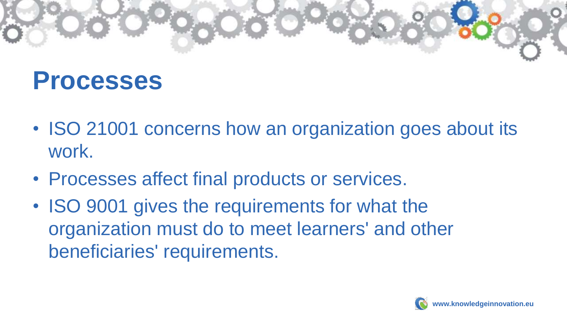

### **Processes**

- ISO 21001 concerns how an organization goes about its work.
- Processes affect final products or services.
- ISO 9001 gives the requirements for what the organization must do to meet learners' and other beneficiaries' requirements.

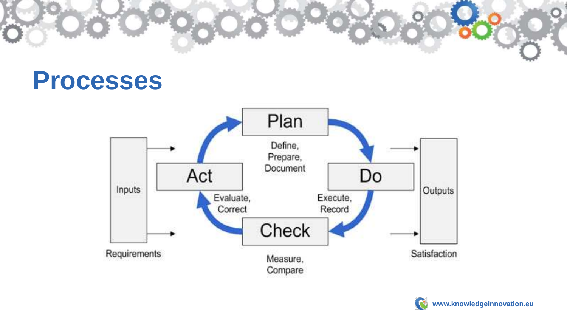

### **Processes**



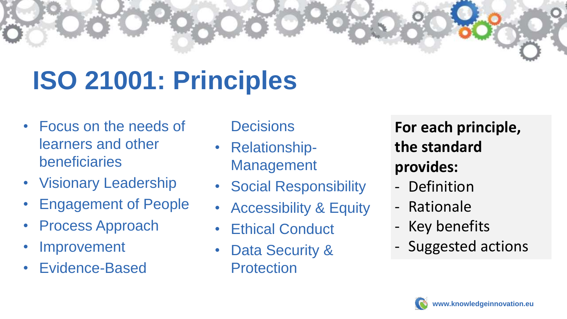### **ISO 21001: Principles**

- Focus on the needs of learners and other beneficiaries
- Visionary Leadership
- Engagement of People
- Process Approach
- **Improvement**
- Evidence-Based

**Decisions** 

- Relationship-Management
- Social Responsibility
- Accessibility & Equity
- Ethical Conduct
- Data Security & **Protection**

**For each principle, the standard provides:**

- Definition
- Rationale
- Key benefits
- Suggested actions

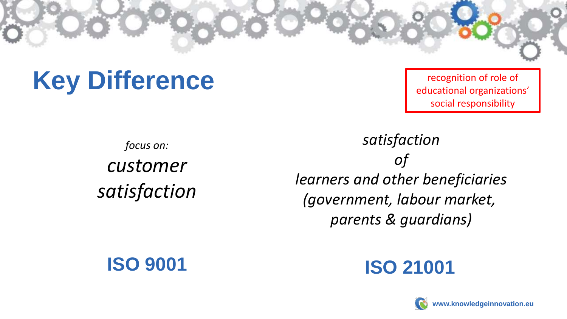### **Key Difference**

recognition of role of educational organizations' social responsibility

*focus on: customer satisfaction*

#### *satisfaction of learners and other beneficiaries (government, labour market, parents & guardians)*



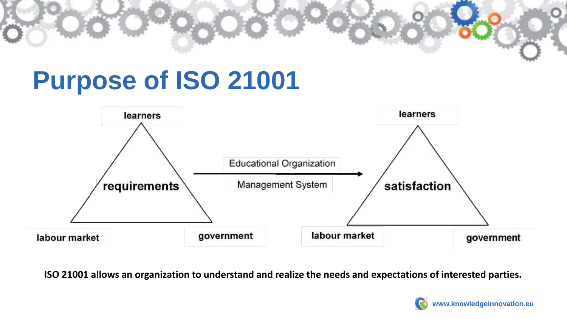# **Purpose of ISO 21001**



**ISO 21001 allows an organization to understand and realize the needs and expectations of interested parties.**

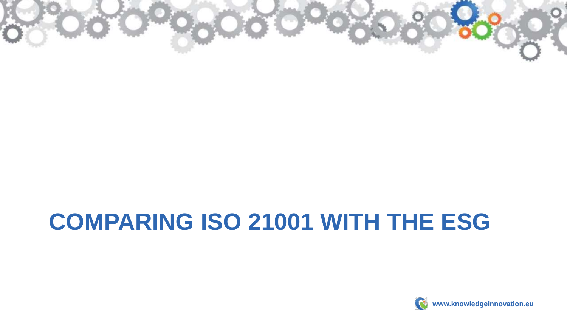

### **COMPARING ISO 21001 WITH THE ESG**

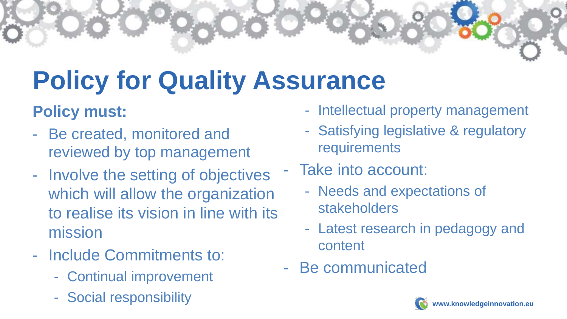# **Policy for Quality Assurance**

#### **Policy must:**

- Be created, monitored and reviewed by top management
- Involve the setting of objectives which will allow the organization to realise its vision in line with its mission
- Include Commitments to:
	- Continual improvement
	- Social responsibility
- Intellectual property management
- Satisfying legislative & regulatory requirements
- Take into account:
	- Needs and expectations of stakeholders
	- Latest research in pedagogy and content
- Be communicated

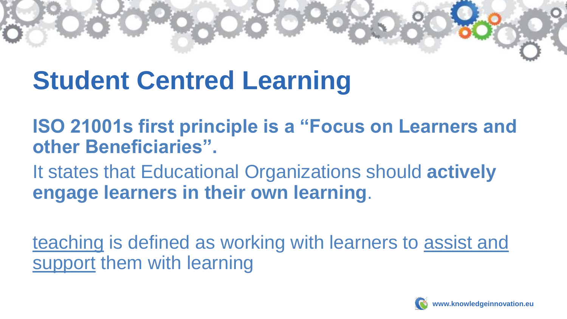### **Student Centred Learning**

**ISO 21001s first principle is a "Focus on Learners and other Beneficiaries".** 

It states that Educational Organizations should **actively engage learners in their own learning**.

teaching is defined as working with learners to assist and support them with learning

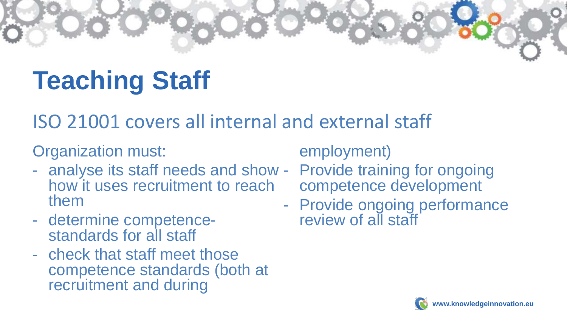# **Teaching Staff**

### ISO 21001 covers all internal and external staff

Organization must:

- analyse its staff needs and show Provide training for ongoing how it uses recruitment to reach them
- determine competencestandards for all staff
- check that staff meet those competence standards (both at recruitment and during

employment)

- competence development
- Provide ongoing performance review of all staff

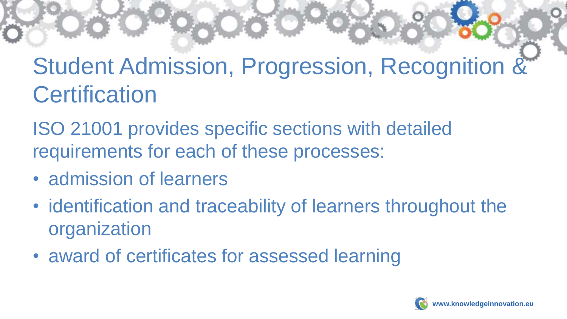### Student Admission, Progression, Recognition & **Certification**

ISO 21001 provides specific sections with detailed requirements for each of these processes:

- admission of learners
- identification and traceability of learners throughout the organization
- award of certificates for assessed learning

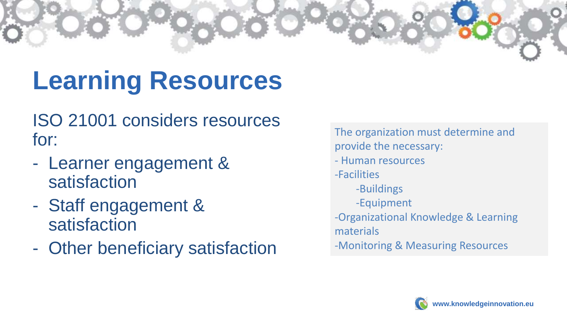# **Learning Resources**

ISO 21001 considers resources for:

- Learner engagement & satisfaction
- Staff engagement & satisfaction
- Other beneficiary satisfaction

The organization must determine and provide the necessary: - Human resources -Facilities -Buildings -Equipment -Organizational Knowledge & Learning materials -Monitoring & Measuring Resources

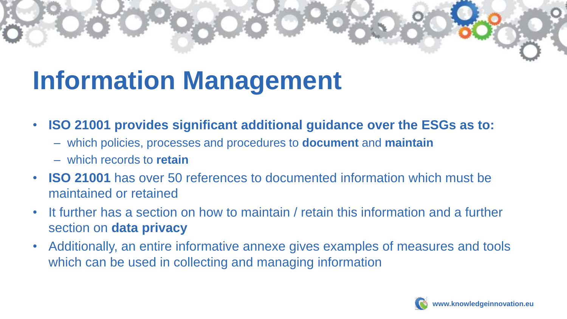### **Information Management**

- **ISO 21001 provides significant additional guidance over the ESGs as to:**
	- which policies, processes and procedures to **document** and **maintain**
	- which records to **retain**
- **ISO 21001** has over 50 references to documented information which must be maintained or retained
- It further has a section on how to maintain / retain this information and a further section on **data privacy**
- Additionally, an entire informative annexe gives examples of measures and tools which can be used in collecting and managing information

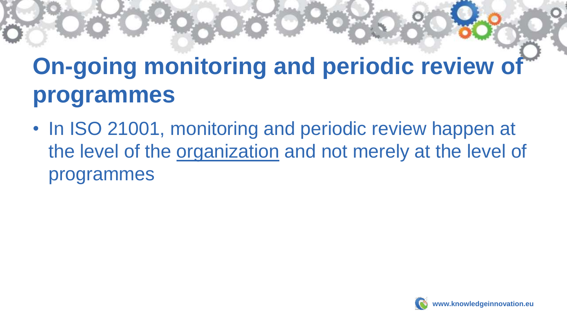### **On-going monitoring and periodic review of programmes**

• In ISO 21001, monitoring and periodic review happen at the level of the organization and not merely at the level of programmes

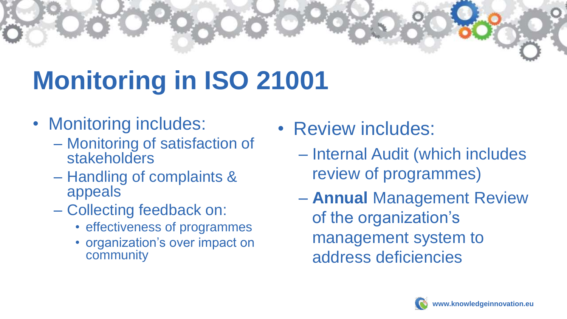# **Monitoring in ISO 21001**

- Monitoring includes:
	- Monitoring of satisfaction of stakeholders
	- Handling of complaints & appeals
	- Collecting feedback on:
		- effectiveness of programmes
		- organization's over impact on community
- Review includes:
	- Internal Audit (which includes review of programmes)
	- **Annual** Management Review of the organization's management system to address deficiencies

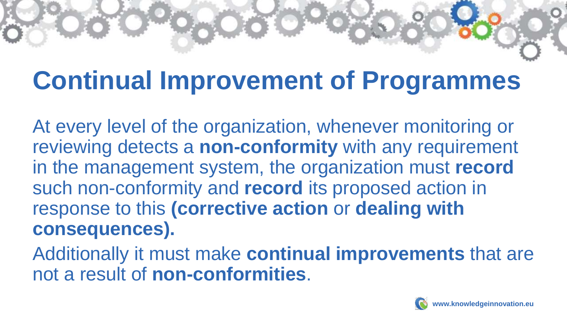### **Continual Improvement of Programmes**

At every level of the organization, whenever monitoring or reviewing detects a **non-conformity** with any requirement in the management system, the organization must **record** such non-conformity and **record** its proposed action in response to this **(corrective action** or **dealing with consequences).**

Additionally it must make **continual improvements** that are not a result of **non-conformities**.

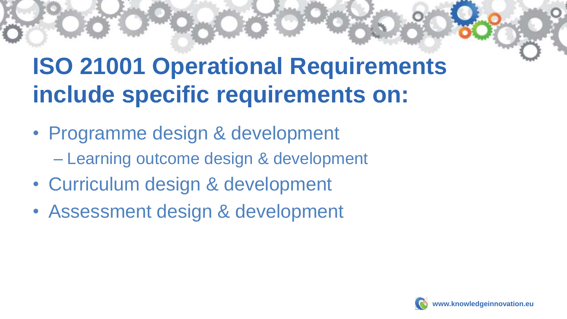### **ISO 21001 Operational Requirements include specific requirements on:**

- Programme design & development – Learning outcome design & development
- Curriculum design & development
- Assessment design & development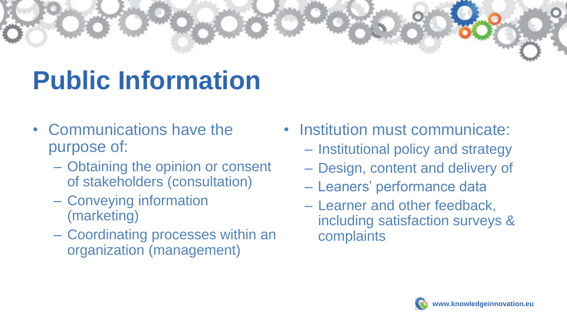

### **Public Information**

- Communications have the purpose of:
	- Obtaining the opinion or consent of stakeholders (consultation)
	- Conveying information (marketing)
	- Coordinating processes within an organization (management)
- Institution must communicate:
	- Institutional policy and strategy
	- Design, content and delivery of
	- Leaners' performance data
	- Learner and other feedback, including satisfaction surveys & complaints

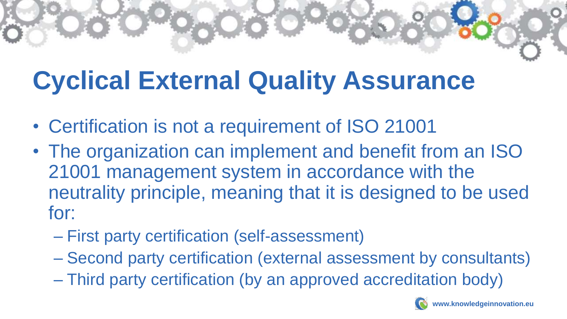# **Cyclical External Quality Assurance**

- Certification is not a requirement of ISO 21001
- The organization can implement and benefit from an ISO 21001 management system in accordance with the neutrality principle, meaning that it is designed to be used for:
	- First party certification (self-assessment)
	- Second party certification (external assessment by consultants)
	- Third party certification (by an approved accreditation body)

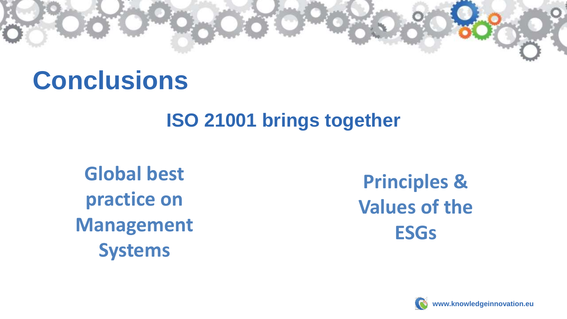### **Conclusions**

### **ISO 21001 brings together**

**Global best practice on Management Systems**

**Principles & Values of the ESGs**

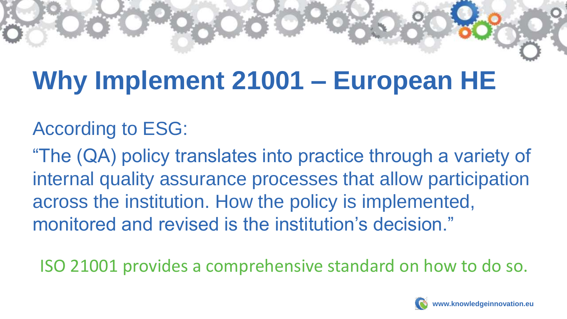# **Why Implement 21001 – European HE**

### According to ESG:

"The (QA) policy translates into practice through a variety of internal quality assurance processes that allow participation across the institution. How the policy is implemented, monitored and revised is the institution's decision."

ISO 21001 provides a comprehensive standard on how to do so.